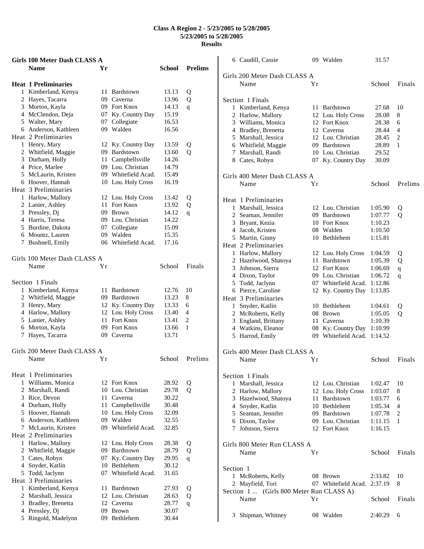|    | Girls 100 Meter Dash CLASS A |      |                     |        |                |
|----|------------------------------|------|---------------------|--------|----------------|
|    | <b>Name</b>                  | Yr   |                     | School | <b>Prelims</b> |
|    | <b>Heat 1 Preliminaries</b>  |      |                     |        |                |
|    | 1 Kimberland, Kenya          |      | 11 Bardstown        | 13.13  | Q              |
|    | 2 Hayes, Tacarra             |      | 09 Caverna          | 13.96  | Q              |
|    | 3 Morton, Kayla              |      | 09 Fort Knox        | 14.13  | q              |
|    | 4 McClendon, Deja            |      | 07 Ky. Country Day  | 15.19  |                |
|    | 5 Walter, Mary               |      | 07 Collegiate       | 16.53  |                |
|    | 6 Anderson, Kathleen         |      | 09 Walden           | 16.56  |                |
|    | Heat 2 Preliminaries         |      |                     |        |                |
|    | 1 Henry, Mary                | 12   | Ky. Country Day     | 13.59  | Q              |
|    | 2 Whitfield, Maggie          | 09   | Bardstown           | 13.60  | Q              |
|    | 3 Durham, Holly              | 11   | Campbellsville      | 14.26  |                |
|    | 4 Price, Marlee              |      | 09 Lou. Christian   | 14.79  |                |
|    | 5 McLaurin, Kristen          |      | 09 Whitefield Acad. | 15.49  |                |
|    | 6 Hoover, Hannah             |      | 10 Lou. Holy Cross  | 16.19  |                |
|    | Heat 3 Preliminaries         |      |                     |        |                |
|    | 1 Harlow, Mallory            |      | 12 Lou. Holy Cross  | 13.42  | Q              |
|    | 2 Lanier, Ashley             |      | 11 Fort Knox        | 13.92  | Q              |
|    | 3 Pressley, Dj               |      | 09 Brown            | 14.12  | q              |
|    | 4 Harris, Teresa             |      | 09 Lou. Christian   | 14.22  |                |
|    | 5 Burdine, Dakota            | 07   | Collegiate          | 15.09  |                |
|    | 6 Mountz, Lauren             |      | 09 Walden           | 15.35  |                |
|    | 7 Bushnell, Emily            |      | 06 Whitefield Acad. | 17.16  |                |
|    | Girls 100 Meter Dash CLASS A |      |                     |        |                |
|    | Name                         | Yr   |                     | School | Finals         |
|    | Section 1 Finals             |      |                     |        |                |
|    | 1 Kimberland, Kenya          | 11   | <b>Bardstown</b>    | 12.76  | 10             |
|    | 2 Whitfield, Maggie          |      | 09 Bardstown        | 13.23  | 8              |
|    | 3 Henry, Mary                |      | 12 Ky. Country Day  | 13.33  | 6              |
|    | 4 Harlow, Mallory            |      | 12 Lou. Holy Cross  | 13.40  | 4              |
|    | 5 Lanier, Ashley             |      | 11 Fort Knox        | 13.41  | 2              |
|    | 6 Morton, Kayla              |      | 09 Fort Knox        | 13.66  | 1              |
| 7  | Hayes, Tacarra               | 09.  | Caverna             | 13.71  |                |
|    | Girls 200 Meter Dash CLASS A |      |                     |        |                |
|    | Name                         | Υr   |                     | School | Prelims        |
|    | Heat 1 Preliminaries         |      |                     |        |                |
|    | 1 Williams, Monica           |      | 12 Fort Knox        | 28.92  | Q              |
|    | 2 Marshall, Randi            |      | 10 Lou. Christian   | 29.78  | Q              |
|    | 3 Rice, Devon                | 11   | Caverna             | 30.22  |                |
|    | 4 Durham, Holly              | 11 - | Campbellsville      | 30.48  |                |
|    | 5 Hoover, Hannah             |      | 10 Lou. Holy Cross  | 32.09  |                |
|    | 6 Anderson, Kathleen         |      | 09 Walden           | 32.55  |                |
|    | 7 McLaurin, Kristen          | 09   | Whitefield Acad.    | 32.85  |                |
|    | Heat 2 Preliminaries         |      |                     |        |                |
|    | 1 Harlow, Mallory            | 12   | Lou. Holy Cross     | 28.38  | Q              |
|    | 2 Whitfield, Maggie          |      | 09 Bardstown        | 28.79  | Q              |
|    | 3 Cates, Robyn               | 07   | Ky. Country Day     | 29.95  | q              |
| 4  | Snyder, Katlin               |      | 10 Bethlehem        | 30.12  |                |
| 5. | Todd, Jaclynn                | 07   | Whitefield Acad.    | 31.65  |                |
|    | Heat 3 Preliminaries         |      |                     |        |                |
|    | 1 Kimberland, Kenya          | 11   | Bardstown           | 27.93  | Q              |
|    | 2 Marshall, Jessica          |      | 12 Lou. Christian   | 28.63  | Q              |
|    | 3 Bradley, Brenetta          |      | 12 Caverna          | 28.77  | q              |
| 4  | Pressley, Dj                 | 09   | <b>Brown</b>        | 30.07  |                |
| 5  | Ringold, Madelynn            | 09.  | Bethlehem           | 30.44  |                |

|                  | 6 Caudill, Cassie                        | 09 | Walden                                         | 31.57   |             |
|------------------|------------------------------------------|----|------------------------------------------------|---------|-------------|
|                  | Girls 200 Meter Dash CLASS A             |    |                                                |         |             |
| Name             |                                          | Υr |                                                | School  | Finals      |
|                  |                                          |    |                                                |         |             |
| Section 1 Finals |                                          |    |                                                |         |             |
|                  | 1 Kimberland, Kenya                      |    | 11 Bardstown                                   | 27.68   | 10          |
|                  | 2 Harlow, Mallory                        |    | 12 Lou. Holy Cross                             | 28.08   | 8           |
|                  | 3 Williams, Monica                       |    | 12 Fort Knox                                   | 28.38   | 6           |
|                  | 4 Bradley, Brenetta                      |    | 12 Caverna                                     | 28.44   | 4           |
|                  | 5 Marshall, Jessica                      |    | 12 Lou. Christian                              | 28.45   | 2           |
|                  | 6 Whitfield, Maggie                      |    | 09 Bardstown                                   | 28.89   | 1           |
|                  | 7 Marshall, Randi                        |    | 10 Lou. Christian                              | 29.52   |             |
| 8 Cates, Robyn   |                                          |    | 07 Ky. Country Day                             | 30.09   |             |
|                  | Girls 400 Meter Dash CLASS A             |    |                                                |         |             |
| Name             |                                          | Υr |                                                | School  | Prelims     |
|                  | Heat 1 Preliminaries                     |    |                                                |         |             |
|                  | 1 Marshall, Jessica                      |    | 12 Lou. Christian                              | 1:05.90 | Q           |
|                  | 2 Seaman, Jennifer                       |    | 09 Bardstown                                   | 1:07.77 | Q           |
|                  | 3 Bryant, Kezia                          |    | 10 Fort Knox                                   | 1:10.23 |             |
|                  | 4 Jacob, Kristen                         |    | 08 Walden                                      | 1:10.50 |             |
|                  | 5 Martin, Ginny                          |    | 10 Bethlehem                                   | 1:15.81 |             |
|                  | Heat 2 Preliminaries                     |    |                                                |         |             |
|                  | 1 Harlow, Mallory                        |    | 12 Lou. Holy Cross                             | 1:04.59 | Q           |
|                  | 2 Hazelwood, Shatoya                     |    | 11 Bardstown                                   | 1:05.39 | Q           |
|                  | 3 Johnson, Sierra                        |    | 12 Fort Knox                                   | 1:06.69 | $\mathbf q$ |
|                  | 4 Dixon, Taylor                          |    | 09 Lou. Christian                              | 1:06.72 | q           |
|                  | 5 Todd, Jaclynn                          |    | 07 Whitefield Acad.                            | 1:12.86 |             |
|                  | 6 Pierce, Caroline                       |    | 12 Ky. Country Day                             | 1:13.85 |             |
|                  | Heat 3 Preliminaries                     |    |                                                |         |             |
|                  | 1 Snyder, Katlin                         |    | 10 Bethlehem                                   | 1:04.61 | Q           |
|                  | 2 McRoberts, Kelly                       |    | 08 Brown                                       | 1:05.05 | Q           |
|                  | 3 England, Brittany                      |    | 11 Caverna                                     | 1:10.39 |             |
|                  | 4 Watkins, Eleanor                       | 08 | Ky. Country Day 1:10.99<br>09 Whitefield Acad. | 1:14.52 |             |
|                  | 5 Harrod, Emily                          |    |                                                |         |             |
|                  | Girls 400 Meter Dash CLASS A             |    |                                                |         |             |
| Name             |                                          | Yr |                                                | School  | Finals      |
| Section 1 Finals |                                          |    |                                                |         |             |
|                  | 1 Marshall, Jessica                      |    | 12 Lou. Christian                              | 1:02.47 | 10          |
|                  | 2 Harlow, Mallory                        |    | 12 Lou. Holy Cross                             | 1:03.07 | 8           |
|                  | 3 Hazelwood, Shatoya                     |    | 11 Bardstown                                   | 1:03.77 | 6           |
|                  | 4 Snyder, Katlin                         |    | 10 Bethlehem                                   | 1:05.34 | 4           |
|                  | 5 Seaman, Jennifer                       |    | 09 Bardstown                                   | 1:07.78 | 2           |
|                  | 6 Dixon, Taylor                          |    | 09 Lou. Christian                              | 1:11.15 | 1           |
|                  | 7 Johnson, Sierra                        |    | 12 Fort Knox                                   | 1:16.15 |             |
|                  | Girls 800 Meter Run CLASS A              |    |                                                |         |             |
| Name             |                                          | Υr |                                                | School  | Finals      |
| Section 1        |                                          |    |                                                |         |             |
|                  | 1 McRoberts, Kelly                       |    | 08 Brown                                       | 2:33.82 | 10          |
|                  | 2 Mayfield, Tori                         |    | 07 Whitefield Acad. 2:37.19                    |         | 8           |
|                  | Section 1  (Girls 800 Meter Run CLASS A) |    |                                                |         |             |
| Name             |                                          | Υr |                                                | School  | Finals      |
|                  | 3 Shipman, Whitney                       |    | 08 Walden                                      | 2:40.29 | 6           |
|                  |                                          |    |                                                |         |             |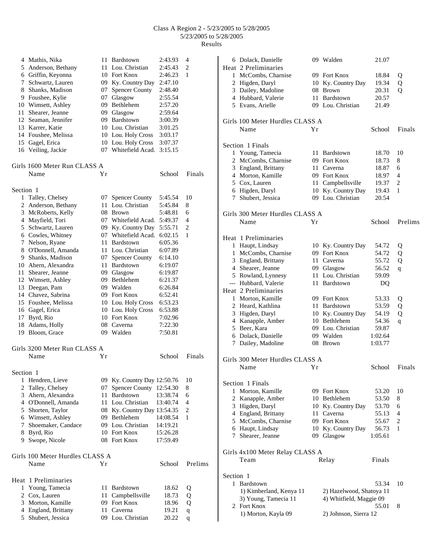|           | 4 Mathis, Nika                  | 11-  | Bardstown                   | 2:43.93  | 4              |
|-----------|---------------------------------|------|-----------------------------|----------|----------------|
|           | 5 Anderson, Bethany             | 11 - | Lou. Christian              | 2:45.43  | 2              |
|           | 6 Griffin, Keyonna              |      | 10 Fort Knox                | 2:46.23  | 1              |
|           | 7 Schwartz, Lauren              |      | 09 Ky. Country Day          | 2:47.10  |                |
|           | 8 Shanks, Madison               | 07   | <b>Spencer County</b>       | 2:48.40  |                |
|           | 9 Foushee, Kylie                |      | 07 Glasgow                  | 2:55.54  |                |
|           | 10 Wimsett, Ashley              |      | 09 Bethlehem                | 2:57.20  |                |
| 11        | Shearer, Jeanne                 |      | 09 Glasgow                  | 2:59.64  |                |
|           | 12 Seaman, Jennifer             |      | 09 Bardstown                | 3:00.39  |                |
|           | 13 Karrer, Katie                |      | 10 Lou. Christian           | 3:01.25  |                |
|           | 14 Foushee, Melissa             |      | 10 Lou. Holy Cross          | 3:03.17  |                |
|           | 15 Gagel, Erica                 |      | 10 Lou. Holy Cross          | 3:07.37  |                |
|           | 16 Veiling, Jackie              |      | 07 Whitefield Acad.         | 3:15.15  |                |
|           | Girls 1600 Meter Run CLASS A    |      |                             |          |                |
|           | Name                            | Υr   |                             | School   | Finals         |
| Section 1 |                                 |      |                             |          |                |
|           | 1 Talley, Chelsey               | 07   | <b>Spencer County</b>       | 5:45.54  | 10             |
| 2         | Anderson, Bethany               | 11   | Lou. Christian              | 5:45.84  | 8              |
|           | 3 McRoberts, Kelly              |      | 08 Brown                    | 5:48.81  | 6              |
|           | 4 Mayfield, Tori                |      | 07 Whitefield Acad.         | 5:49.37  | $\overline{4}$ |
|           | 5 Schwartz, Lauren              |      | 09 Ky. Country Day          | 5:55.71  | $\mathbf{2}$   |
|           | 6 Cowles, Whitney               |      | 07 Whitefield Acad.         | 6:02.15  | 1              |
| 7         | Nelson, Ryane                   | 11   | Bardstown                   | 6:05.36  |                |
|           | 8 O'Donnell, Amanda             |      | 11 Lou. Christian           | 6:07.89  |                |
|           | 9 Shanks, Madison               | 07   | <b>Spencer County</b>       | 6:14.10  |                |
|           | 10 Ahern, Alexandra             |      | 11 Bardstown                | 6:19.07  |                |
| 11        | Shearer, Jeanne                 |      | 09 Glasgow                  | 6:19.87  |                |
|           | 12 Wimsett, Ashley              |      | 09 Bethlehem                | 6:21.37  |                |
|           | 13 Deegan, Pam                  |      | 09 Walden                   | 6:26.84  |                |
|           | 14 Chavez, Sabrina              |      | 09 Fort Knox                | 6:52.41  |                |
|           | 15 Foushee, Melissa             |      | 10 Lou. Holy Cross          | 6:53.23  |                |
|           | 16 Gagel, Erica                 |      | 10 Lou. Holy Cross          | 6:53.88  |                |
| 17        | Byrd, Rio                       |      | 10 Fort Knox                | 7:02.96  |                |
| 18        | Adams, Holly                    |      | 08 Caverna                  | 7:22.30  |                |
|           | 19 Bloom, Grace                 |      | 09 Walden                   | 7:50.81  |                |
|           | Girls 3200 Meter Run CLASS A    |      |                             |          |                |
|           | Name                            | Υr   |                             | School   | Finals         |
| Section 1 |                                 |      |                             |          |                |
| 1         | Hendren, Lieve                  |      | 09 Ky. Country Day 12:50.76 |          | 10             |
| 2         | Talley, Chelsey                 | 07   | Spencer County 12:54.30     |          | 8              |
| 3         | Ahern, Alexandra                | 11   | Bardstown                   | 13:38.74 | 6              |
|           | 4 O'Donnell, Amanda             | 11   | Lou. Christian              | 13:40.74 | 4              |
|           | 5 Shorten, Taylor               | 08   | Ky. Country Day 13:54.35    |          | 2              |
|           | 6 Wimsett, Ashley               |      | 09 Bethlehem                | 14:08.54 | 1              |
| 7         | Shoemaker, Candace              |      | 09 Lou. Christian           | 14:19.21 |                |
| 8         | Byrd, Rio                       |      | 10 Fort Knox                | 15:26.28 |                |
| 9.        | Swope, Nicole                   |      | 08 Fort Knox                | 17:59.49 |                |
|           | Girls 100 Meter Hurdles CLASS A |      |                             |          |                |
|           | Name                            | Υr   |                             | School   | Prelims        |
|           | Heat 1 Preliminaries            |      |                             |          |                |
| 1         | Young, Tamecia                  | 11-  | Bardstown                   | 18.62    | Q              |
| 2         | Cox, Lauren                     |      | 11 Campbellsville           | 18.73    | Q              |
| 3         | Morton, Kamille                 |      | 09 Fort Knox                | 18.96    | Q              |
| 4         | England, Brittany               | 11 - | Caverna                     | 19.21    | $\mathbf q$    |
| 5         | Shubert, Jessica                |      | 09 Lou. Christian           | 20.22    | $\mathbf q$    |

|                | 6 Dolack, Danielle<br>Heat 2 Preliminaries   |     | 09 Walden                               | 21.07          |                     |
|----------------|----------------------------------------------|-----|-----------------------------------------|----------------|---------------------|
|                | 1 McCombs, Charnise                          |     | 09 Fort Knox                            | 18.84          | Q                   |
| $\overline{2}$ | Higden, Daryl                                |     | 10 Ky. Country Day                      | 19.34          | Q                   |
|                | 3 Dailey, Madoline                           |     | 08 Brown                                | 20.31          | Q                   |
|                | 4 Hubbard, Valerie                           |     | 11 Bardstown                            | 20.57          |                     |
|                | 5 Evans, Arielle                             |     | 09 Lou. Christian                       | 21.49          |                     |
|                | Girls 100 Meter Hurdles CLASS A              |     |                                         |                |                     |
|                | Name                                         | Υr  |                                         | School         | Finals              |
|                | Section 1 Finals                             |     |                                         |                |                     |
|                | 1 Young, Tamecia                             |     | 11 Bardstown                            | 18.70          | 10                  |
|                | 2 McCombs, Charnise                          |     | 09 Fort Knox                            | 18.73          | 8                   |
|                | 3 England, Brittany                          |     | 11 Caverna                              | 18.87          | 6                   |
|                | 4 Morton, Kamille                            |     | 09 Fort Knox                            | 18.97          | 4<br>$\overline{2}$ |
|                | 5 Cox, Lauren<br>6 Higden, Daryl             |     | 11 Campbellsville<br>10 Ky. Country Day | 19.37<br>19.43 | 1                   |
| 7              | Shubert, Jessica                             |     | 09 Lou. Christian                       | 20.54          |                     |
|                |                                              |     |                                         |                |                     |
|                | Girls 300 Meter Hurdles CLASS A<br>Name      | Yr  |                                         | School         | Prelims             |
|                |                                              |     |                                         |                |                     |
|                | Heat 1 Preliminaries                         |     |                                         |                |                     |
|                | 1 Haupt, Lindsay                             |     | 10 Ky. Country Day                      | 54.72          | Q                   |
| 1              | McCombs, Charnise                            |     | 09 Fort Knox                            | 54.72          | Q                   |
| 3              | England, Brittany                            |     | 11 Caverna                              | 55.72          | Q                   |
|                | 4 Shearer, Jeanne                            |     | 09 Glasgow                              | 56.52          | q                   |
|                | 5 Rowland, Lynnesy                           |     | 11 Lou. Christian                       | 59.09          |                     |
|                | --- Hubbard, Valerie<br>Heat 2 Preliminaries |     | 11 Bardstown                            | DQ             |                     |
| 1              | Morton, Kamille                              |     | 09 Fort Knox                            | 53.33          | Q                   |
|                | 2 Heard, Kathlina                            |     | 11 Bardstown                            | 53.59          | Q                   |
|                | 3 Higden, Daryl                              |     | 10 Ky. Country Day                      | 54.19          | Q                   |
|                | 4 Kanapple, Amber                            |     | 10 Bethlehem                            | 54.36          | q                   |
|                | 5 Beer, Kara                                 |     | 09 Lou. Christian                       | 59.87          |                     |
|                | 6 Dolack, Danielle                           |     | 09 Walden                               | 1:02.64        |                     |
|                | 7 Dailey, Madoline                           |     | 08 Brown                                | 1:03.77        |                     |
|                | Girls 300 Meter Hurdles CLASS A              |     |                                         |                |                     |
|                | Name                                         | Y r |                                         | School         | Finals              |
|                | Section 1 Finals                             |     |                                         |                |                     |
|                | 1 Morton, Kamille                            |     | 09 Fort Knox                            | 53.20          | 10                  |
|                | 2 Kanapple, Amber                            |     | 10 Bethlehem                            | 53.50          | 8                   |
|                | 3 Higden, Daryl                              |     | 10 Ky. Country Day                      | 53.70          | 6                   |
|                | 4 England, Brittany                          |     | 11 Caverna                              | 55.13          | 4                   |
|                | 5 McCombs, Charnise                          |     | 09 Fort Knox                            | 55.67          | 2                   |
|                | 6 Haupt, Lindsay                             |     | 10 Ky. Country Day                      | 56.73          | 1                   |
| 7              | Shearer, Jeanne                              |     | 09 Glasgow                              | 1:05.61        |                     |
|                | Girls 4x100 Meter Relay CLASS A              |     |                                         |                |                     |
|                | Team                                         |     | Relay                                   | Finals         |                     |
| Section 1      |                                              |     |                                         |                |                     |
|                | 1 Bardstown                                  |     |                                         | 53.34          | 10                  |
|                | 1) Kimberland, Kenya 11                      |     | 2) Hazelwood, Shatoya 11                |                |                     |
|                | 3) Young, Tamecia 11                         |     | 4) Whitfield, Maggie 09                 |                |                     |
|                | 2 Fort Knox                                  |     |                                         | 55.01          | 8                   |
|                | 1) Morton, Kayla 09                          |     | 2) Johnson, Sierra 12                   |                |                     |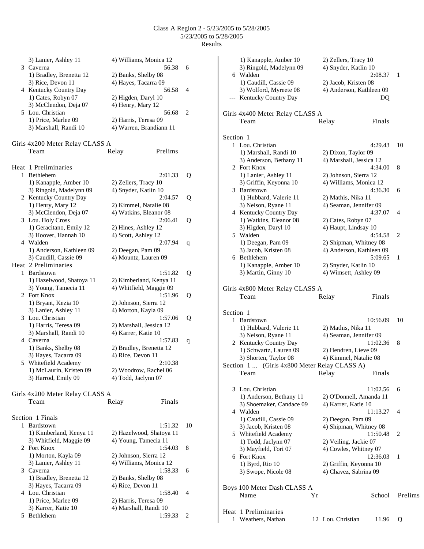|   | 3) Lanier, Ashley 11<br>3 Caverna            | 4) Williams, Monica 12<br>56.38             | 6  |
|---|----------------------------------------------|---------------------------------------------|----|
|   | 1) Bradley, Brenetta 12<br>3) Rice, Devon 11 | 2) Banks, Shelby 08<br>4) Hayes, Tacarra 09 |    |
|   | 4 Kentucky Country Day                       | 56.58                                       | 4  |
|   | 1) Cates, Robyn 07                           | 2) Higden, Daryl 10                         |    |
|   | 3) McClendon, Deja 07                        | 4) Henry, Mary 12                           |    |
|   | 5 Lou. Christian<br>1) Price, Marlee 09      | 56.68<br>2) Harris, Teresa 09               | 2  |
|   | 3) Marshall, Randi 10                        | 4) Warren, Brandiann 11                     |    |
|   |                                              |                                             |    |
|   | Girls 4x200 Meter Relay CLASS A              |                                             |    |
|   | Team                                         | Prelims<br>Relay                            |    |
|   | Heat 1 Preliminaries                         |                                             |    |
| 1 | Bethlehem                                    | 2:01.33                                     | Q  |
|   | 1) Kanapple, Amber 10                        | 2) Zellers, Tracy 10                        |    |
|   | 3) Ringold, Madelynn 09                      | 4) Snyder, Katlin 10                        |    |
|   | 2 Kentucky Country Day                       | 2:04.57                                     | Q  |
|   | 1) Henry, Mary 12                            | 2) Kimmel, Natalie 08                       |    |
|   | 3) McClendon, Deja 07                        | 4) Watkins, Eleanor 08                      |    |
| 3 | Lou. Holy Cross                              | 2:06.41                                     | Q  |
|   | 1) Geracitano, Emily 12                      | 2) Hines, Ashley 12                         |    |
|   | 3) Hoover, Hannah 10<br>4 Walden             | 4) Scott, Ashley 12<br>2:07.94              |    |
|   | 1) Anderson, Kathleen 09                     | 2) Deegan, Pam 09                           | q  |
|   | 3) Caudill, Cassie 09                        | 4) Mountz, Lauren 09                        |    |
|   | Heat 2 Preliminaries                         |                                             |    |
| 1 | <b>Bardstown</b>                             | 1:51.82                                     | Q  |
|   | 1) Hazelwood, Shatoya 11                     | 2) Kimberland, Kenya 11                     |    |
|   | 3) Young, Tamecia 11                         | 4) Whitfield, Maggie 09                     |    |
|   | 2 Fort Knox                                  | 1:51.96                                     | Q  |
|   | 1) Bryant, Kezia 10                          | 2) Johnson, Sierra 12                       |    |
|   | 3) Lanier, Ashley 11<br>3 Lou. Christian     | 4) Morton, Kayla 09<br>1:57.06              | Q  |
|   | 1) Harris, Teresa 09                         | 2) Marshall, Jessica 12                     |    |
|   | 3) Marshall, Randi 10                        | 4) Karrer, Katie 10                         |    |
|   | 4 Caverna                                    | 1:57.83                                     | q  |
|   | 1) Banks, Shelby 08                          | 2) Bradley, Brenetta 12                     |    |
|   | 3) Hayes, Tacarra 09                         | 4) Rice, Devon 11                           |    |
| 5 | Whitefield Academy                           | 2:10.38                                     |    |
|   | 1) McLaurin, Kristen 09                      | 2) Woodrow, Rachel 06                       |    |
|   | 3) Harrod, Emily 09                          | 4) Todd, Jaclynn 07                         |    |
|   | Girls 4x200 Meter Relay CLASS A              |                                             |    |
|   | Team                                         | Relay<br>Finals                             |    |
|   |                                              |                                             |    |
|   | Section 1 Finals                             |                                             |    |
| 1 | <b>Bardstown</b>                             | 1:51.32                                     | 10 |
|   | 1) Kimberland, Kenya 11                      | 2) Hazelwood, Shatoya 11                    |    |
|   | 3) Whitfield, Maggie 09<br>2 Fort Knox       | 4) Young, Tamecia 11<br>1:54.03             | 8  |
|   | 1) Morton, Kayla 09                          | 2) Johnson, Sierra 12                       |    |
|   | 3) Lanier, Ashley 11                         | 4) Williams, Monica 12                      |    |
|   | 3 Caverna                                    | 1:58.33                                     | 6  |
|   | 1) Bradley, Brenetta 12                      | 2) Banks, Shelby 08                         |    |
|   | 3) Hayes, Tacarra 09                         | 4) Rice, Devon 11                           |    |
|   | 4 Lou. Christian                             | 1:58.40                                     | 4  |
|   | 1) Price, Marlee 09                          | 2) Harris, Teresa 09                        |    |
| 5 | 3) Karrer, Katie 10<br>Bethlehem             | 4) Marshall, Randi 10<br>1:59.33            | 2  |
|   |                                              |                                             |    |

|           | 1) Kanapple, Amber 10                              | 2) Zellers, Tracy 10               |         |
|-----------|----------------------------------------------------|------------------------------------|---------|
|           | 3) Ringold, Madelynn 09<br>6 Walden                | 4) Snyder, Katlin 10<br>2:08.37    | 1       |
|           | 1) Caudill, Cassie 09                              | 2) Jacob, Kristen 08               |         |
|           | 3) Wolford, Myreete 08<br>--- Kentucky Country Day | 4) Anderson, Kathleen 09<br>DQ     |         |
|           |                                                    |                                    |         |
|           | Girls 4x400 Meter Relay CLASS A                    |                                    |         |
|           | Team                                               | Relay<br>Finals                    |         |
| Section 1 |                                                    |                                    |         |
|           | 1 Lou. Christian                                   | 4:29.43                            | 10      |
|           | 1) Marshall, Randi 10                              | 2) Dixon, Taylor 09                |         |
|           | 3) Anderson, Bethany 11<br>2 Fort Knox             | 4) Marshall, Jessica 12<br>4:34.00 |         |
|           | 1) Lanier, Ashley 11                               | 2) Johnson, Sierra 12              | 8       |
|           | 3) Griffin, Keyonna 10                             | 4) Williams, Monica 12             |         |
| 3         | Bardstown                                          | 4:36.30                            | 6       |
|           | 1) Hubbard, Valerie 11                             | 2) Mathis, Nika 11                 |         |
|           | 3) Nelson, Ryane 11                                | 4) Seaman, Jennifer 09             |         |
|           | 4 Kentucky Country Day                             | 4:37.07                            | 4       |
|           | 1) Watkins, Eleanor 08                             | 2) Cates, Robyn 07                 |         |
|           | 3) Higden, Daryl 10                                | 4) Haupt, Lindsay 10               |         |
|           | 5 Walden<br>1) Deegan, Pam 09                      | 4:54.58<br>2) Shipman, Whitney 08  | 2       |
|           | 3) Jacob, Kristen 08                               | 4) Anderson, Kathleen 09           |         |
|           | 6 Bethlehem                                        | 5:09.65                            | 1       |
|           | 1) Kanapple, Amber 10                              | 2) Snyder, Katlin 10               |         |
|           | 3) Martin, Ginny 10                                | 4) Wimsett, Ashley 09              |         |
|           |                                                    |                                    |         |
|           | Girls 4x800 Meter Relay CLASS A<br>Team            | Relay<br>Finals                    |         |
|           |                                                    |                                    |         |
| Section 1 |                                                    |                                    |         |
| 1         | Bardstown                                          | 10:56.09                           | 10      |
|           | 1) Hubbard, Valerie 11                             | 2) Mathis, Nika 11                 |         |
|           | 3) Nelson, Ryane 11<br>2 Kentucky Country Day      | 4) Seaman, Jennifer 09<br>11:02.36 | 8       |
|           | 1) Schwartz, Lauren 09                             | 2) Hendren, Lieve 09               |         |
|           | 3) Shorten, Taylor 08                              | 4) Kimmel, Natalie 08              |         |
|           | Section 1  (Girls 4x800 Meter Relay CLASS A)       |                                    |         |
|           | Team                                               | Relay<br>Finals                    |         |
| 3         | Lou. Christian                                     | 11:02.56                           | 6       |
|           | 1) Anderson, Bethany 11                            | 2) O'Donnell, Amanda 11            |         |
|           | 3) Shoemaker, Candace 09                           | 4) Karrer, Katie 10                |         |
|           | 4 Walden                                           | 11:13.27                           | 4       |
|           | 1) Caudill, Cassie 09                              | 2) Deegan, Pam 09                  |         |
|           | 3) Jacob, Kristen 08                               | 4) Shipman, Whitney 08             |         |
|           | 5 Whitefield Academy                               | 11:50.48                           | 2       |
|           | 1) Todd, Jaclynn 07                                | 2) Veiling, Jackie 07              |         |
|           | 3) Mayfield, Tori 07<br>6 Fort Knox                | 4) Cowles, Whitney 07<br>12:36.03  | 1       |
|           | 1) Byrd, Rio 10                                    | 2) Griffin, Keyonna 10             |         |
|           | 3) Swope, Nicole 08                                | 4) Chavez, Sabrina 09              |         |
|           |                                                    |                                    |         |
|           | Boys 100 Meter Dash CLASS A                        |                                    |         |
|           | Name<br>Υr                                         | School                             | Prelims |
|           | Heat 1 Preliminaries                               |                                    |         |
| 1         | Weathers, Nathan                                   | 12 Lou. Christian<br>11.96         | Q       |
|           |                                                    |                                    |         |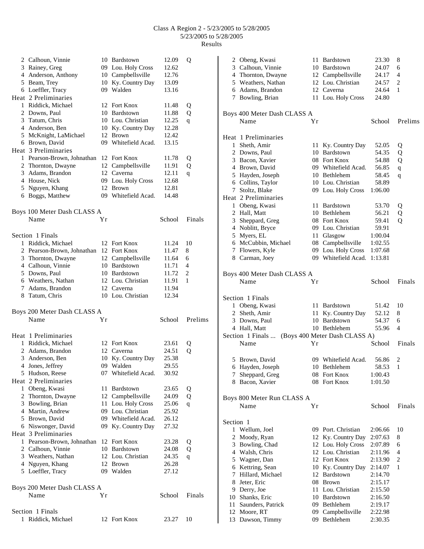|   | 2 Calhoun, Vinnie                       |    | 10 Bardstown                   | 12.09          | Q       |
|---|-----------------------------------------|----|--------------------------------|----------------|---------|
|   | 3 Rainey, Greg                          |    | 09 Lou. Holy Cross             | 12.62          |         |
|   | 4 Anderson, Anthony                     |    | 10 Campbellsville              | 12.76          |         |
|   | 5 Beam, Trey                            |    | 10 Ky. Country Day             | 13.09          |         |
|   | 6 Loeffler, Tracy                       |    | 09 Walden                      | 13.16          |         |
|   | Heat 2 Preliminaries                    |    |                                |                |         |
|   | 1 Riddick, Michael                      |    | 12 Fort Knox                   | 11.48          | Q       |
|   | 2 Downs, Paul                           |    | 10 Bardstown                   | 11.88          | Q       |
|   | 3 Tatum, Chris<br>4 Anderson, Ben       |    | 10 Lou. Christian              | 12.25          | q       |
|   |                                         |    | 10 Ky. Country Day<br>12 Brown | 12.28          |         |
|   | 5 McKnight, LaMichael<br>6 Brown, David |    | 09 Whitefield Acad.            | 12.42<br>13.15 |         |
|   | Heat 3 Preliminaries                    |    |                                |                |         |
|   | 1 Pearson-Brown, Johnathan              |    | 12 Fort Knox                   | 11.78          | Q       |
|   | 2 Thornton, Dwayne                      |    | 12 Campbellsville              | 11.91          | Q       |
|   | 3 Adams, Brandon                        |    | 12 Caverna                     | 12.11          | q       |
|   | 4 House, Nick                           |    | 09 Lou. Holy Cross             | 12.68          |         |
|   | 5 Nguyen, Khang                         |    | 12 Brown                       | 12.81          |         |
|   | 6 Boggs, Matthew                        |    | 09 Whitefield Acad.            | 14.48          |         |
|   |                                         |    |                                |                |         |
|   | Boys 100 Meter Dash CLASS A             |    |                                |                |         |
|   | Name                                    | Yr |                                | School         | Finals  |
|   | Section 1 Finals                        |    |                                |                |         |
|   | 1 Riddick, Michael                      |    | 12 Fort Knox                   | 11.24          | 10      |
|   | 2 Pearson-Brown, Johnathan              |    | 12 Fort Knox                   | 11.47          | 8       |
|   | 3 Thornton, Dwayne                      |    | 12 Campbellsville              | 11.64          | 6       |
|   | 4 Calhoun, Vinnie                       |    | 10 Bardstown                   | 11.71          | 4       |
|   | 5 Downs, Paul                           |    | 10 Bardstown                   | 11.72          | 2       |
|   | 6 Weathers, Nathan                      |    | 12 Lou. Christian              | 11.91          | 1       |
|   | 7 Adams, Brandon                        |    | 12 Caverna                     | 11.94          |         |
|   | 8 Tatum, Chris                          |    | 10 Lou. Christian              | 12.34          |         |
|   | Boys 200 Meter Dash CLASS A             |    |                                |                |         |
|   | Name                                    | Υr |                                | School         | Prelims |
|   | Heat 1 Preliminaries                    |    |                                |                |         |
|   | 1 Riddick, Michael                      |    | 12 Fort Knox                   | 23.61          | Q       |
|   | 2 Adams, Brandon                        |    | 12 Caverna                     | 24.51          | Q       |
| 3 | Anderson, Ben                           |    | 10 Ky. Country Day             | 25.38          |         |
|   | 4 Jones, Jeffrey                        |    | 09 Walden                      | 29.55          |         |
|   | 5 Hudson, Reese                         |    | 07 Whitefield Acad.            | 30.92          |         |
|   | Heat 2 Preliminaries                    |    |                                |                |         |
|   | 1 Obeng, Kwasi                          | 11 | <b>Bardstown</b>               | 23.65          | Q       |
| 2 | Thornton, Dwayne                        |    | 12 Campbellsville              | 24.09          | Q       |
|   | 3 Bowling, Brian                        | 11 | Lou. Holy Cross                | 25.06          | q       |
|   | 4 Martin, Andrew                        |    | 09 Lou. Christian              | 25.92          |         |
|   | 5 Brown, David                          |    | 09 Whitefield Acad.            | 26.12          |         |
|   | 6 Niswonger, David                      |    | 09 Ky. Country Day             | 27.32          |         |
|   | Heat 3 Preliminaries                    |    |                                |                |         |
|   | 1 Pearson-Brown, Johnathan              |    | 12 Fort Knox                   | 23.28          | Q       |
|   | 2 Calhoun, Vinnie                       |    | 10 Bardstown                   | 24.08          | Q       |
|   | 3 Weathers, Nathan                      |    | 12 Lou. Christian              | 24.35          | q       |
|   | 4 Nguyen, Khang                         |    | 12 Brown                       | 26.28          |         |
|   | 5 Loeffler, Tracy                       |    | 09 Walden                      | 27.12          |         |
|   | Boys 200 Meter Dash CLASS A             |    |                                |                |         |
|   | Name                                    | Υr |                                | School         | Finals  |
|   |                                         |    |                                |                |         |
|   | Section 1 Finals<br>1 Riddick, Michael  |    | 12 Fort Knox                   | 23.27          | 10      |
|   |                                         |    |                                |                |         |

|           | 2 Obeng, Kwasi                                  |    | 11 Bardstown                       | 23.30              | 8              |
|-----------|-------------------------------------------------|----|------------------------------------|--------------------|----------------|
|           | 3 Calhoun, Vinnie                               |    | 10 Bardstown                       | 24.07              | 6              |
|           | 4 Thornton, Dwayne                              |    | 12 Campbellsville                  | 24.17              | $\overline{4}$ |
|           | 5 Weathers, Nathan                              |    | 12 Lou. Christian                  | 24.57              | 2              |
|           | 6 Adams, Brandon                                |    | 12 Caverna                         | 24.64              | 1              |
|           | 7 Bowling, Brian                                |    | 11 Lou. Holy Cross                 | 24.80              |                |
|           |                                                 |    |                                    |                    |                |
|           | Boys 400 Meter Dash CLASS A                     |    |                                    |                    |                |
|           | Name                                            | Yr |                                    | School             | Prelims        |
|           | Heat 1 Preliminaries                            |    |                                    |                    |                |
|           | 1 Sheth, Amir                                   | 11 | Ky. Country Day                    | 52.05              | Q              |
|           | 2 Downs, Paul                                   |    | 10 Bardstown                       | 54.35              | Q              |
|           | 3 Bacon, Xavier                                 |    | 08 Fort Knox                       | 54.88              | Q              |
|           | 4 Brown, David                                  |    | 09 Whitefield Acad.                | 56.85              | $\mathbf q$    |
|           | 5 Hayden, Joseph                                |    | 10 Bethlehem                       | 58.45              | $\mathbf q$    |
|           | 6 Collins, Taylor                               |    | 10 Lou. Christian                  | 58.89              |                |
|           | 7 Stoltz, Blake                                 |    | 09 Lou. Holy Cross                 | 1:06.00            |                |
|           | Heat 2 Preliminaries                            |    |                                    |                    |                |
|           | 1 Obeng, Kwasi                                  |    | 11 Bardstown                       | 53.70              | Q              |
|           | 2 Hall, Matt                                    |    | 10 Bethlehem                       | 56.21              | Q              |
|           | 3 Sheppard, Greg                                |    | 08 Fort Knox                       | 59.41              | Q              |
|           | 4 Noblitt, Bryce                                |    | 09 Lou. Christian                  | 59.91              |                |
|           | 5 Myers, EL                                     |    | 11 Glasgow                         | 1:00.04            |                |
|           | 6 McCubbin, Michael                             |    | 08 Campbellsville                  | 1:02.55            |                |
|           | 7 Flowers, Kyle                                 |    | 09 Lou. Holy Cross                 | 1:07.68            |                |
|           | 8 Carman, Joey                                  |    | 09 Whitefield Acad.                | 1:13.81            |                |
|           |                                                 |    |                                    |                    |                |
|           | Boys 400 Meter Dash CLASS A                     |    |                                    |                    |                |
|           | Name                                            | Yr |                                    | School             | Finals         |
|           | Section 1 Finals                                |    |                                    |                    |                |
|           | 1 Obeng, Kwasi                                  |    | 11 Bardstown                       | 51.42              | 10             |
|           | 2 Sheth, Amir                                   |    | 11 Ky. Country Day                 | 52.12              | 8              |
|           | 3 Downs, Paul                                   |    | 10 Bardstown                       | 54.37              | 6              |
|           | 4 Hall, Matt                                    |    | 10 Bethlehem                       | 55.96              | 4              |
|           | Section 1 Finals  (Boys 400 Meter Dash CLASS A) |    |                                    |                    |                |
|           | Name                                            | Υr |                                    | School             | Finals         |
|           |                                                 |    |                                    |                    |                |
|           | 5 Brown, David                                  |    | 09 Whitefield Acad.                | 56.86              | 2              |
|           | 6 Hayden, Joseph                                |    | 10 Bethlehem                       | 58.53              | -1             |
| 7         | Sheppard, Greg                                  |    | 08 Fort Knox                       | 1:00.43            |                |
|           | 8 Bacon, Xavier                                 |    | 08 Fort Knox                       | 1:01.50            |                |
|           | Boys 800 Meter Run CLASS A                      |    |                                    |                    |                |
|           | Name                                            | Υr |                                    | School             | Finals         |
|           |                                                 |    |                                    |                    |                |
| Section 1 |                                                 |    | 09 Port. Christian                 |                    |                |
|           | 1 Wellum, Joel                                  |    |                                    | 2:06.66            | 10             |
|           | 2 Moody, Ryan                                   |    | 12 Ky. Country Day                 | 2:07.63            | 8              |
|           | 3 Bowling, Chad                                 |    | 12 Lou. Holy Cross                 | 2:07.89            | 6              |
|           | 4 Walsh, Chris                                  | 12 | Lou. Christian                     | 2:11.96            | 4              |
|           | 5 Wagner, Dan                                   |    | 12 Fort Knox                       | 2:13.90            | 2              |
|           | 6 Kettring, Sean                                |    | 10 Ky. Country Day<br>12 Bardstown | 2:14.07            | 1              |
|           | 7 Hillard, Michael                              |    |                                    | 2:14.70            |                |
|           | 8 Jeter, Eric                                   | 08 | <b>Brown</b>                       | 2:15.17            |                |
|           | 9 Derry, Joe                                    | 11 | Lou. Christian<br>10 Bardstown     | 2:15.50            |                |
|           | 10 Shanks, Eric                                 |    | 09 Bethlehem                       | 2:16.50            |                |
|           | 11 Saunders, Patrick<br>12 Moore, RT            |    |                                    | 2:19.17            |                |
| 13        | Dawson, Timmy                                   | 09 | 09 Campbellsville<br>Bethlehem     | 2:22.98<br>2:30.35 |                |
|           |                                                 |    |                                    |                    |                |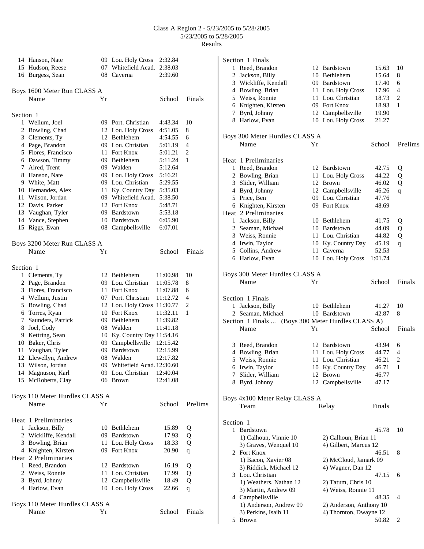|           | 14 Hanson, Nate                |                | 09 Lou. Holy Cross           | 2:32.84  |             |
|-----------|--------------------------------|----------------|------------------------------|----------|-------------|
|           | 15 Hudson, Reese               |                | 07 Whitefield Acad.          | 2:38.03  |             |
|           | 16 Burgess, Sean               |                | 08 Caverna                   | 2:39.60  |             |
|           | Boys 1600 Meter Run CLASS A    |                |                              |          |             |
|           | Name                           | Υr             |                              | School   | Finals      |
| Section 1 |                                |                |                              |          |             |
|           | 1 Wellum, Joel                 |                | 09 Port. Christian           | 4:43.34  | 10          |
|           | 2 Bowling, Chad                |                | 12 Lou. Holy Cross           | 4:51.05  | 8           |
|           | 3 Clements, Ty                 |                | 12 Bethlehem                 | 4:54.55  | 6           |
|           | 4 Page, Brandon                |                | 09 Lou. Christian            | 5:01.19  | 4           |
|           | 5 Flores, Francisco            |                | 11 Fort Knox                 | 5:01.21  | 2           |
|           | 6 Dawson, Timmy                |                | 09 Bethlehem                 | 5:11.24  | 1           |
|           | 7 Alred, Trent                 |                | 09 Walden                    | 5:12.64  |             |
|           | 8 Hanson, Nate                 |                | 09 Lou. Holy Cross           | 5:16.21  |             |
|           | 9 White, Matt                  |                | 09 Lou. Christian            | 5:29.55  |             |
|           | 10 Hernandez, Alex             | 11             | Ky. Country Day              | 5:35.03  |             |
|           | 11 Wilson, Jordan              |                | 09 Whitefield Acad.          | 5:38.50  |             |
|           | 12 Davis, Parker               |                | 12 Fort Knox                 | 5:48.71  |             |
|           | 13 Vaughan, Tyler              |                | 09 Bardstown                 | 5:53.18  |             |
|           | 14 Vance, Stephen              |                | 10 Bardstown                 | 6:05.90  |             |
| 15        | Riggs, Evan                    |                | 08 Campbellsville            | 6:07.01  |             |
|           | Boys 3200 Meter Run CLASS A    |                |                              |          |             |
|           | Name                           | Yr             |                              | School   | Finals      |
| Section 1 |                                |                |                              |          |             |
|           | 1 Clements, Ty                 |                | 12 Bethlehem                 | 11:00.98 | 10          |
|           | 2 Page, Brandon                |                | 09 Lou. Christian            | 11:05.78 | 8           |
|           | 3 Flores, Francisco            |                | 11 Fort Knox                 | 11:07.88 | 6           |
|           | 4 Wellum, Justin               |                | 07 Port. Christian           | 11:12.72 | 4           |
|           | 5 Bowling, Chad                |                | 12 Lou. Holy Cross 11:30.77  |          | 2           |
|           | 6 Torres, Ryan                 |                | 10 Fort Knox                 | 11:32.11 | 1           |
|           | 7 Saunders, Patrick            | 09             | Bethlehem                    | 11:39.82 |             |
|           | 8 Joel, Cody                   |                | 08 Walden                    | 11:41.18 |             |
|           | 9 Kettring, Sean               |                | 10 Ky. Country Day 11:54.16  |          |             |
|           | 10 Baker, Chris                |                | 09 Campbellsville 12:15.42   |          |             |
|           | 11 Vaughan, Tyler              |                | 09 Bardstown                 | 12:15.99 |             |
|           | 12 Llewellyn, Andrew           | 08             | Walden                       | 12:17.82 |             |
|           | 13 Wilson, Jordan              |                | 09 Whitefield Acad. 12:30.60 |          |             |
| 14        | Magnuson, Karl                 |                | 09 Lou. Christian            | 12:40.04 |             |
| 15        | McRoberts, Clay                |                | 06 Brown                     | 12:41.08 |             |
|           | Boys 110 Meter Hurdles CLASS A |                |                              |          |             |
|           | Name                           | Υr             |                              | School   | Prelims     |
|           | Heat 1 Preliminaries           |                |                              |          |             |
|           | 1 Jackson, Billy               |                | 10 Bethlehem                 | 15.89    | Q           |
|           | 2 Wickliffe, Kendall           | 09             | Bardstown                    | 17.93    | Q           |
|           | 3 Bowling, Brian               |                | 11 Lou. Holy Cross           | 18.33    | Q           |
|           | 4 Knighten, Kirsten            |                | 09 Fort Knox                 | 20.90    | $\mathbf q$ |
|           | Heat 2 Preliminaries           |                |                              |          |             |
|           | 1 Reed, Brandon                | 12             | Bardstown                    | 16.19    | Q           |
|           | 2 Weiss, Ronnie                | 11             | Lou. Christian               | 17.99    | Q           |
|           | 3 Byrd, Johnny                 |                | 12 Campbellsville            | 18.49    | Q           |
|           | 4 Harlow, Evan                 |                | 10 Lou. Holy Cross           | 22.66    | $\mathbf q$ |
|           | Boys 110 Meter Hurdles CLASS A |                |                              |          |             |
|           | Name                           | Y <sub>r</sub> |                              | School   | Finals      |

|           | Section 1 Finals                                   |      |                         |         |                |
|-----------|----------------------------------------------------|------|-------------------------|---------|----------------|
|           | 1 Reed, Brandon                                    |      | 12 Bardstown            | 15.63   | 10             |
|           | 2 Jackson, Billy                                   |      | 10 Bethlehem            | 15.64   | 8              |
|           | 3 Wickliffe, Kendall                               |      | 09 Bardstown            | 17.40   | 6              |
|           | 4 Bowling, Brian                                   |      | 11 Lou. Holy Cross      | 17.96   | $\overline{4}$ |
|           | 5 Weiss, Ronnie                                    | 11   | Lou. Christian          | 18.73   | $\overline{c}$ |
|           | 6 Knighten, Kirsten                                |      | 09 Fort Knox            | 18.93   | 1              |
|           | 7 Byrd, Johnny                                     |      | 12 Campbellsville       | 19.90   |                |
|           | 8 Harlow, Evan                                     |      | 10 Lou. Holy Cross      | 21.27   |                |
|           | Boys 300 Meter Hurdles CLASS A                     |      |                         |         |                |
|           | Name                                               | Υr   |                         | School  | Prelims        |
|           | Heat 1 Preliminaries                               |      |                         |         |                |
|           | 1 Reed, Brandon                                    |      | 12 Bardstown            | 42.75   | Q              |
|           | 2 Bowling, Brian                                   | 11   | Lou. Holy Cross         | 44.22   | Q              |
|           | 3 Slider, William                                  | 12   | Brown                   | 46.02   | Q              |
|           | 4 Byrd, Johnny                                     |      | 12 Campbellsville       | 46.26   |                |
|           | 5 Price, Ben                                       |      | 09 Lou. Christian       | 47.76   | q              |
|           | 6 Knighten, Kirsten                                |      | 09 Fort Knox            | 48.69   |                |
|           | Heat 2 Preliminaries                               |      |                         |         |                |
|           |                                                    |      |                         |         |                |
|           | 1 Jackson, Billy                                   |      | 10 Bethlehem            | 41.75   | Q              |
|           | 2 Seaman, Michael                                  |      | 10 Bardstown            | 44.09   | Q              |
|           | 3 Weiss, Ronnie                                    |      | 11 Lou. Christian       | 44.82   | Q              |
|           | 4 Irwin, Taylor                                    |      | 10 Ky. Country Day      | 45.19   | q              |
|           | 5 Collins, Andrew                                  | 11 - | Caverna                 | 52.53   |                |
|           | 6 Harlow, Evan                                     |      | 10 Lou. Holy Cross      | 1:01.74 |                |
|           | Boys 300 Meter Hurdles CLASS A                     |      |                         |         |                |
|           | Name                                               | Υr   |                         | School  | Finals         |
|           | Section 1 Finals                                   |      |                         |         |                |
|           | 1 Jackson, Billy                                   |      | 10 Bethlehem            | 41.27   | 10             |
|           | 2 Seaman, Michael                                  |      | 10 Bardstown            | 42.87   | 8              |
|           | Section 1 Finals  (Boys 300 Meter Hurdles CLASS A) |      |                         |         |                |
|           | Name                                               | Υr   |                         | School  | Finals         |
|           |                                                    |      |                         |         |                |
|           | 3 Reed, Brandon                                    |      | 12 Bardstown            | 43.94   | 6              |
|           | 4 Bowling, Brian                                   |      | 11 Lou. Holy Cross      | 44.77   | 4              |
|           | 5 Weiss, Ronnie                                    |      | 11 Lou. Christian       | 46.21   | $\mathbf{2}$   |
|           | 6 Irwin, Taylor                                    |      | 10 Ky. Country Day      | 46.71   | $\mathbf{1}$   |
|           | 7 Slider, William                                  |      | 12 Brown                | 46.77   |                |
|           | 8 Byrd, Johnny                                     |      | 12 Campbellsville       | 47.17   |                |
|           | Boys 4x100 Meter Relay CLASS A                     |      |                         |         |                |
|           | Team                                               |      | Relay                   | Finals  |                |
| Section 1 |                                                    |      |                         |         |                |
|           | 1 Bardstown                                        |      |                         | 45.78   | 10             |
|           | 1) Calhoun, Vinnie 10                              |      | 2) Calhoun, Brian 11    |         |                |
|           | 3) Graves, Wenquel 10                              |      | 4) Gilbert, Marcus 12   |         |                |
|           | 2 Fort Knox                                        |      |                         | 46.51   | 8              |
|           | 1) Bacon, Xavier 08                                |      | 2) McCloud, Jamark 09   |         |                |
|           |                                                    |      |                         |         |                |
|           | 3) Riddick, Michael 12                             |      | 4) Wagner, Dan 12       |         |                |
|           | 3 Lou. Christian                                   |      |                         | 47.15   | 6              |
|           | 1) Weathers, Nathan 12                             |      | 2) Tatum, Chris 10      |         |                |
|           | 3) Martin, Andrew 09                               |      | 4) Weiss, Ronnie 11     |         |                |
|           | 4 Campbellsville                                   |      |                         | 48.35   | 4              |
|           | 1) Anderson, Andrew 09                             |      | 2) Anderson, Anthony 10 |         |                |
|           | 3) Perkins, Isaih 11                               |      | 4) Thornton, Dwayne 12  |         |                |
|           | 5 Brown                                            |      |                         | 50.82   | 2              |